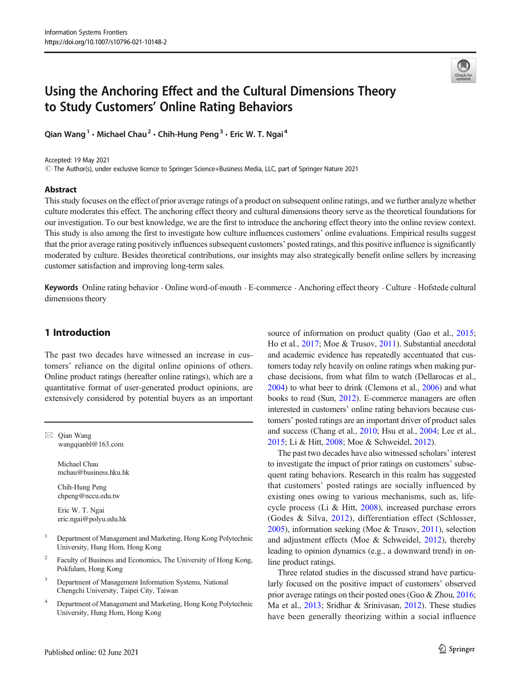

# Using the Anchoring Effect and the Cultural Dimensions Theory to Study Customers' Online Rating Behaviors

Qian Wang<sup>1</sup> · Michael Chau<sup>2</sup> · Chih-Hung Peng<sup>3</sup> · Eric W. T. Ngai<sup>4</sup>

Accepted: 19 May 2021

# The Author(s), under exclusive licence to Springer Science+Business Media, LLC, part of Springer Nature 2021

#### Abstract

This study focuses on the effect of prior average ratings of a product on subsequent online ratings, and we further analyze whether culture moderates this effect. The anchoring effect theory and cultural dimensions theory serve as the theoretical foundations for our investigation. To our best knowledge, we are the first to introduce the anchoring effect theory into the online review context. This study is also among the first to investigate how culture influences customers' online evaluations. Empirical results suggest that the prior average rating positively influences subsequent customers' posted ratings, and this positive influence is significantly moderated by culture. Besides theoretical contributions, our insights may also strategically benefit online sellers by increasing customer satisfaction and improving long-term sales.

Keywords Online rating behavior . Online word-of-mouth . E-commerce . Anchoring effect theory . Culture . Hofstede cultural dimensions theory

# 1 Introduction

The past two decades have witnessed an increase in customers' reliance on the digital online opinions of others. Online product ratings (hereafter online ratings), which are a quantitative format of user-generated product opinions, are extensively considered by potential buyers as an important

 $\boxtimes$  Qian Wang [wangqianbl@163.com](mailto:wangqianbl@163.com)

> Michael Chau mchau@business.hku.hk

Chih-Hung Peng chpeng@nccu.edu.tw

Eric W. T. Ngai eric.ngai@polyu.edu.hk

- <sup>1</sup> Department of Management and Marketing, Hong Kong Polytechnic University, Hung Hom, Hong Kong
- <sup>2</sup> Faculty of Business and Economics, The University of Hong Kong, Pokfulam, Hong Kong
- Department of Management Information Systems, National Chengchi University, Taipei City, Taiwan
- <sup>4</sup> Department of Management and Marketing, Hong Kong Polytechnic University, Hung Hom, Hong Kong

source of information on product quality (Gao et al., [2015;](#page-11-0) Ho et al., [2017;](#page-11-0) Moe & Trusov, [2011](#page-12-0)). Substantial anecdotal and academic evidence has repeatedly accentuated that customers today rely heavily on online ratings when making purchase decisions, from what film to watch (Dellarocas et al., [2004\)](#page-11-0) to what beer to drink (Clemons et al., [2006](#page-11-0)) and what books to read (Sun, [2012](#page-12-0)). E-commerce managers are often interested in customers' online rating behaviors because customers' posted ratings are an important driver of product sales and success (Chang et al., [2010;](#page-11-0) Hsu et al., [2004](#page-11-0); Lee et al., [2015;](#page-11-0) Li & Hitt, [2008](#page-11-0); Moe & Schweidel, [2012](#page-11-0)).

The past two decades have also witnessed scholars' interest to investigate the impact of prior ratings on customers' subsequent rating behaviors. Research in this realm has suggested that customers' posted ratings are socially influenced by existing ones owing to various mechanisms, such as, lifecycle process (Li & Hitt, [2008](#page-11-0)), increased purchase errors (Godes & Silva, [2012\)](#page-11-0), differentiation effect (Schlosser, [2005\)](#page-12-0), information seeking (Moe & Trusov, [2011\)](#page-12-0), selection and adjustment effects (Moe & Schweidel, [2012](#page-11-0)), thereby leading to opinion dynamics (e.g., a downward trend) in online product ratings.

Three related studies in the discussed strand have particularly focused on the positive impact of customers' observed prior average ratings on their posted ones (Guo & Zhou, [2016;](#page-11-0) Ma et al., [2013](#page-11-0); Sridhar & Srinivasan, [2012\)](#page-12-0). These studies have been generally theorizing within a social influence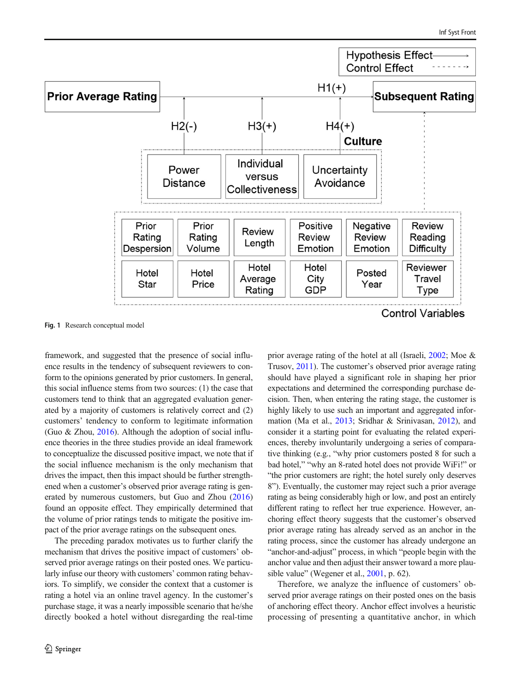<span id="page-1-0"></span>

Fig. 1 Research conceptual model

framework, and suggested that the presence of social influence results in the tendency of subsequent reviewers to conform to the opinions generated by prior customers. In general, this social influence stems from two sources: (1) the case that customers tend to think that an aggregated evaluation generated by a majority of customers is relatively correct and (2) customers' tendency to conform to legitimate information (Guo & Zhou, [2016\)](#page-11-0). Although the adoption of social influence theories in the three studies provide an ideal framework to conceptualize the discussed positive impact, we note that if the social influence mechanism is the only mechanism that drives the impact, then this impact should be further strengthened when a customer's observed prior average rating is generated by numerous customers, but Guo and Zhou ([2016\)](#page-11-0) found an opposite effect. They empirically determined that the volume of prior ratings tends to mitigate the positive impact of the prior average ratings on the subsequent ones.

The preceding paradox motivates us to further clarify the mechanism that drives the positive impact of customers' observed prior average ratings on their posted ones. We particularly infuse our theory with customers' common rating behaviors. To simplify, we consider the context that a customer is rating a hotel via an online travel agency. In the customer's purchase stage, it was a nearly impossible scenario that he/she directly booked a hotel without disregarding the real-time prior average rating of the hotel at all (Israeli, [2002;](#page-11-0) Moe & Trusov, [2011](#page-12-0)). The customer's observed prior average rating should have played a significant role in shaping her prior expectations and determined the corresponding purchase decision. Then, when entering the rating stage, the customer is highly likely to use such an important and aggregated information (Ma et al., [2013](#page-11-0); Sridhar & Srinivasan, [2012\)](#page-12-0), and consider it a starting point for evaluating the related experiences, thereby involuntarily undergoing a series of comparative thinking (e.g., "why prior customers posted 8 for such a bad hotel," "why an 8-rated hotel does not provide WiFi!" or "the prior customers are right; the hotel surely only deserves 8"). Eventually, the customer may reject such a prior average rating as being considerably high or low, and post an entirely different rating to reflect her true experience. However, anchoring effect theory suggests that the customer's observed prior average rating has already served as an anchor in the rating process, since the customer has already undergone an "anchor-and-adjust" process, in which "people begin with the anchor value and then adjust their answer toward a more plau-sible value" (Wegener et al., [2001](#page-12-0), p. 62).

Therefore, we analyze the influence of customers' observed prior average ratings on their posted ones on the basis of anchoring effect theory. Anchor effect involves a heuristic processing of presenting a quantitative anchor, in which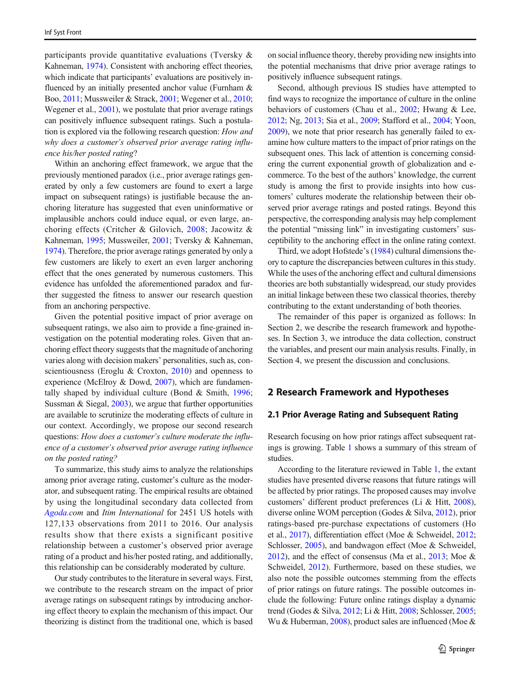participants provide quantitative evaluations (Tversky & Kahneman, [1974\)](#page-12-0). Consistent with anchoring effect theories, which indicate that participants' evaluations are positively influenced by an initially presented anchor value (Furnham & Boo, [2011;](#page-11-0) Mussweiler & Strack, [2001](#page-12-0); Wegener et al., [2010](#page-12-0); Wegener et al., [2001](#page-12-0)), we postulate that prior average ratings can positively influence subsequent ratings. Such a postulation is explored via the following research question: How and why does a customer's observed prior average rating influence his/her posted rating?

Within an anchoring effect framework, we argue that the previously mentioned paradox (i.e., prior average ratings generated by only a few customers are found to exert a large impact on subsequent ratings) is justifiable because the anchoring literature has suggested that even uninformative or implausible anchors could induce equal, or even large, anchoring effects (Critcher & Gilovich, [2008;](#page-11-0) Jacowitz & Kahneman, [1995](#page-11-0); Mussweiler, [2001;](#page-12-0) Tversky & Kahneman, [1974\)](#page-12-0). Therefore, the prior average ratings generated by only a few customers are likely to exert an even larger anchoring effect that the ones generated by numerous customers. This evidence has unfolded the aforementioned paradox and further suggested the fitness to answer our research question from an anchoring perspective.

Given the potential positive impact of prior average on subsequent ratings, we also aim to provide a fine-grained investigation on the potential moderating roles. Given that anchoring effect theory suggests that the magnitude of anchoring varies along with decision makers' personalities, such as, con-scientiousness (Eroglu & Croxton, [2010\)](#page-11-0) and openness to experience (McElroy & Dowd, [2007\)](#page-11-0), which are fundamentally shaped by individual culture (Bond & Smith, [1996](#page-11-0); Sussman & Siegal, [2003\)](#page-12-0), we argue that further opportunities are available to scrutinize the moderating effects of culture in our context. Accordingly, we propose our second research questions: How does a customer's culture moderate the influence of a customer's observed prior average rating influence on the posted rating?

To summarize, this study aims to analyze the relationships among prior average rating, customer's culture as the moderator, and subsequent rating. The empirical results are obtained by using the longitudinal secondary data collected from [Agoda.](http://www.haosou.com/link?url=http%253A%252F%252Fwww.agoda.com%252Fzh-cn%252Fpartners%252Ftracking.aspx%253Ftype%253D1%2526site_id%253D1605629%2526url%253Dhttp%253A%252F%252Fwww.agoda.com%252Fzh-cn%252F%2526utm_source%253D360%2526utm_medium%253Dbrandzone%2526utm_content%253DTitle%2526tag%253D650148eabe9144ffb59e0798796309fcd281&q=agoda&ts=1448588932&t=954edfa2eb11afb200e53967ff5c0c2&src=haosou)com and Itim International for 2451 US hotels with 127,133 observations from 2011 to 2016. Our analysis results show that there exists a significant positive relationship between a customer's observed prior average rating of a product and his/her posted rating, and additionally, this relationship can be considerably moderated by culture.

Our study contributes to the literature in several ways. First, we contribute to the research stream on the impact of prior average ratings on subsequent ratings by introducing anchoring effect theory to explain the mechanism of this impact. Our theorizing is distinct from the traditional one, which is based on social influence theory, thereby providing new insights into the potential mechanisms that drive prior average ratings to positively influence subsequent ratings.

Second, although previous IS studies have attempted to find ways to recognize the importance of culture in the online behaviors of customers (Chau et al., [2002](#page-11-0); Hwang & Lee, [2012;](#page-11-0) Ng, [2013;](#page-12-0) Sia et al., [2009;](#page-12-0) Stafford et al., [2004;](#page-12-0) Yoon, [2009\)](#page-12-0), we note that prior research has generally failed to examine how culture matters to the impact of prior ratings on the subsequent ones. This lack of attention is concerning considering the current exponential growth of globalization and ecommerce. To the best of the authors' knowledge, the current study is among the first to provide insights into how customers' cultures moderate the relationship between their observed prior average ratings and posted ratings. Beyond this perspective, the corresponding analysis may help complement the potential "missing link" in investigating customers' susceptibility to the anchoring effect in the online rating context.

Third, we adopt Hofstede's [\(1984\)](#page-11-0) cultural dimensions theory to capture the discrepancies between cultures in this study. While the uses of the anchoring effect and cultural dimensions theories are both substantially widespread, our study provides an initial linkage between these two classical theories, thereby contributing to the extant understanding of both theories.

The remainder of this paper is organized as follows: In Section 2, we describe the research framework and hypotheses. In Section 3, we introduce the data collection, construct the variables, and present our main analysis results. Finally, in Section 4, we present the discussion and conclusions.

# 2 Research Framework and Hypotheses

#### 2.1 Prior Average Rating and Subsequent Rating

Research focusing on how prior ratings affect subsequent ratings is growing. Table [1](#page-3-0) shows a summary of this stream of studies.

According to the literature reviewed in Table [1,](#page-3-0) the extant studies have presented diverse reasons that future ratings will be affected by prior ratings. The proposed causes may involve customers' different product preferences (Li & Hitt, [2008\)](#page-11-0), diverse online WOM perception (Godes & Silva, [2012\)](#page-11-0), prior ratings-based pre-purchase expectations of customers (Ho et al., [2017](#page-11-0)), differentiation effect (Moe & Schweidel, [2012;](#page-11-0) Schlosser, [2005](#page-12-0)), and bandwagon effect (Moe & Schweidel, [2012\)](#page-11-0), and the effect of consensus (Ma et al., [2013;](#page-11-0) Moe & Schweidel, [2012\)](#page-11-0). Furthermore, based on these studies, we also note the possible outcomes stemming from the effects of prior ratings on future ratings. The possible outcomes include the following: Future online ratings display a dynamic trend (Godes & Silva, [2012;](#page-11-0) Li & Hitt, [2008;](#page-11-0) Schlosser, [2005;](#page-12-0) Wu & Huberman, [2008](#page-12-0)), product sales are influenced (Moe &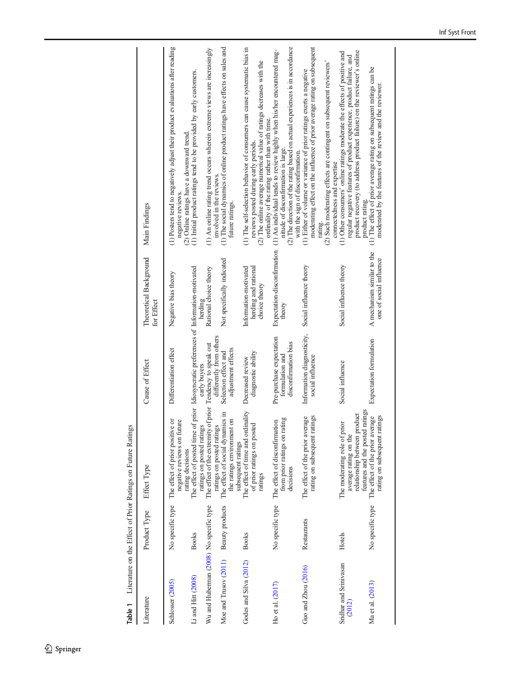Table 1 Literature on the Effect of Prior Ratings on Future Ratings Table 1 Literature on the Effect of Prior Ratings on Future Ratings

<span id="page-3-0"></span>

| Literature                              | Product Type     | Effect Type                                                                                                                            | Cause of Effect                                                     | Theoretical Background<br>for Effect                           | Main Findings                                                                                                                                                                                                                                                    |
|-----------------------------------------|------------------|----------------------------------------------------------------------------------------------------------------------------------------|---------------------------------------------------------------------|----------------------------------------------------------------|------------------------------------------------------------------------------------------------------------------------------------------------------------------------------------------------------------------------------------------------------------------|
| Schlosser (2005)                        | No specific type | The effect of prior positive or<br>future<br>negative reviews on                                                                       | Differentiation effect                                              | Negative bias theory                                           | (1) Posters tend to negatively adjust their product evaluations after reading<br>(2) Online ratings have a downward trend<br>negative reviews                                                                                                                    |
| Li and Hitt (2008)                      | <b>Books</b>     | The effect of posted time of prior Idiosyncratic preferences of Information-motivated<br>ratings on posted ratings<br>rating decisions | early buyers                                                        | herding                                                        | (1) Initial product ratings tend to be provided by early customers.                                                                                                                                                                                              |
| Wu and Huberman (2008) No specific type |                  | The effect of the extremity of prior<br>ratings on posted ratings                                                                      | differently from others<br>Tendency to speak out                    | Rational choice theory                                         | (1) An online rating trend occurs wherein extreme views are increasingly<br>involved in the reviews.                                                                                                                                                             |
| Moe and Trusov (2011) Beauty products   |                  | The effect of social dynamics in<br>the ratings environment on<br>subsequent ratings                                                   | adjustment effects<br>Selection effect and                          | Not specifically indicated                                     | (1) The social dynamics of online product ratings have effects on sales and<br>future ratings.                                                                                                                                                                   |
| Godes and Silva (2012)                  | <b>Books</b>     | The effect of time and ordinality<br>of prior ratings on posted<br>ratings                                                             | diagnostic ability<br>Decreased review                              | herding and rational<br>Information-motivated<br>choice theory | (1) The self-selection behavior of consumers can cause systematic bias in<br>(2) The online average numerical value of ratings decreases with the<br>ordinality of the rating rather than with time<br>reviews posted during early periods.                      |
| Ho et al. $(2017)$                      |                  | rating<br>No specific type The effect of disconfirmation<br>from prior ratings on<br>decisions                                         | Pre-purchase expectation<br>disconfirmation bias<br>formulation and | Expectation-disconfirmation<br>theory                          | (2) The direction of the rating based on actual experiences is in accordance<br>(1) An individual tends to review highly when his/her encountered mag-<br>nitude of disconfirmation is large.<br>with the sign of disconfirmation                                |
| Guo and Zhou (2016)                     | Restaurants      | ratings<br>The effect of the prior average<br>rating on subsequent                                                                     | Information diagnosticity,<br>social influence                      | Social influence theory                                        | moderating effect on the influence of prior average rating on subsequent<br>(2) Such moderating effects are contingent on subsequent reviewers'<br>(1) Either of volume or variance of prior ratings exerts a negative<br>connectedness and expertise<br>rating. |
| Sridhar and Srinivasan<br>(2012)        | Hotels           | relationship between product<br>The moderating role of prior<br>average rating on the                                                  | Social influence                                                    | Social influence theory                                        | product recovery (to address product failure) on the reviewer's online<br>(1) Other consumers' online ratings moderate the effects of positive and<br>regular negative features of product experience, product failure, and<br>product rating                    |
| Ma et al. (2013)                        | No specific type | features and the posted ratings<br>The effect of the prior average<br>ratings<br>rating on subsequent                                  | Expectation formulation                                             | A mechanism similar to the<br>one of social influence          | (1) The effect of prior average rating on subsequent ratings can be<br>moderated by the features of the review and the reviewer                                                                                                                                  |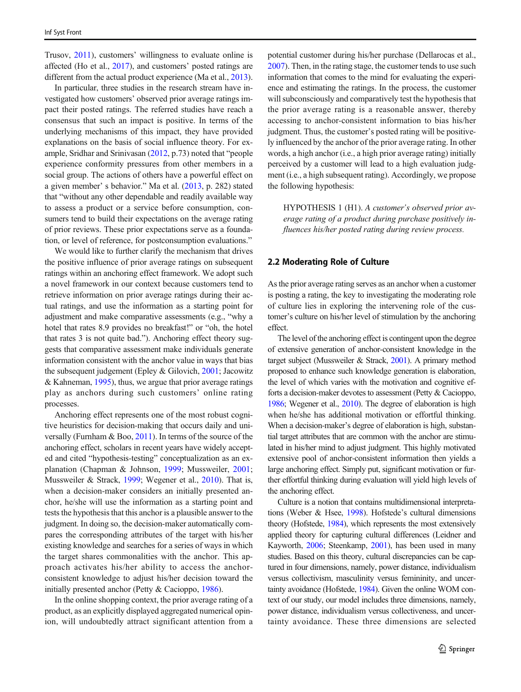Trusov, [2011](#page-12-0)), customers' willingness to evaluate online is affected (Ho et al., [2017\)](#page-11-0), and customers' posted ratings are different from the actual product experience (Ma et al., [2013\)](#page-11-0).

In particular, three studies in the research stream have investigated how customers' observed prior average ratings impact their posted ratings. The referred studies have reach a consensus that such an impact is positive. In terms of the underlying mechanisms of this impact, they have provided explanations on the basis of social influence theory. For example, Sridhar and Srinivasan [\(2012,](#page-12-0) p.73) noted that "people experience conformity pressures from other members in a social group. The actions of others have a powerful effect on a given member' s behavior." Ma et al. [\(2013,](#page-11-0) p. 282) stated that "without any other dependable and readily available way to assess a product or a service before consumption, consumers tend to build their expectations on the average rating of prior reviews. These prior expectations serve as a foundation, or level of reference, for postconsumption evaluations."

We would like to further clarify the mechanism that drives the positive influence of prior average ratings on subsequent ratings within an anchoring effect framework. We adopt such a novel framework in our context because customers tend to retrieve information on prior average ratings during their actual ratings, and use the information as a starting point for adjustment and make comparative assessments (e.g., "why a hotel that rates 8.9 provides no breakfast!" or "oh, the hotel that rates 3 is not quite bad."). Anchoring effect theory suggests that comparative assessment make individuals generate information consistent with the anchor value in ways that bias the subsequent judgement (Epley & Gilovich, [2001](#page-11-0); Jacowitz & Kahneman, [1995](#page-11-0)), thus, we argue that prior average ratings play as anchors during such customers' online rating processes.

Anchoring effect represents one of the most robust cognitive heuristics for decision-making that occurs daily and universally (Furnham & Boo, [2011](#page-11-0)). In terms of the source of the anchoring effect, scholars in recent years have widely accepted and cited "hypothesis-testing" conceptualization as an explanation (Chapman & Johnson, [1999](#page-11-0); Mussweiler, [2001](#page-12-0); Mussweiler & Strack, [1999;](#page-12-0) Wegener et al., [2010](#page-12-0)). That is, when a decision-maker considers an initially presented anchor, he/she will use the information as a starting point and tests the hypothesis that this anchor is a plausible answer to the judgment. In doing so, the decision-maker automatically compares the corresponding attributes of the target with his/her existing knowledge and searches for a series of ways in which the target shares commonalities with the anchor. This approach activates his/her ability to access the anchorconsistent knowledge to adjust his/her decision toward the initially presented anchor (Petty & Cacioppo, [1986\)](#page-12-0).

In the online shopping context, the prior average rating of a product, as an explicitly displayed aggregated numerical opinion, will undoubtedly attract significant attention from a potential customer during his/her purchase (Dellarocas et al., [2007\)](#page-11-0). Then, in the rating stage, the customer tends to use such information that comes to the mind for evaluating the experience and estimating the ratings. In the process, the customer will subconsciously and comparatively test the hypothesis that the prior average rating is a reasonable answer, thereby accessing to anchor-consistent information to bias his/her judgment. Thus, the customer's posted rating will be positively influenced by the anchor of the prior average rating. In other words, a high anchor (i.e., a high prior average rating) initially perceived by a customer will lead to a high evaluation judgment (i.e., a high subsequent rating). Accordingly, we propose the following hypothesis:

HYPOTHESIS 1 (H1). A customer's observed prior average rating of a product during purchase positively influences his/her posted rating during review process.

#### 2.2 Moderating Role of Culture

As the prior average rating serves as an anchor when a customer is posting a rating, the key to investigating the moderating role of culture lies in exploring the intervening role of the customer's culture on his/her level of stimulation by the anchoring effect.

The level of the anchoring effect is contingent upon the degree of extensive generation of anchor-consistent knowledge in the target subject (Mussweiler & Strack, [2001\)](#page-12-0). A primary method proposed to enhance such knowledge generation is elaboration, the level of which varies with the motivation and cognitive efforts a decision-maker devotes to assessment (Petty & Cacioppo, [1986;](#page-12-0) Wegener et al., [2010\)](#page-12-0). The degree of elaboration is high when he/she has additional motivation or effortful thinking. When a decision-maker's degree of elaboration is high, substantial target attributes that are common with the anchor are stimulated in his/her mind to adjust judgment. This highly motivated extensive pool of anchor-consistent information then yields a large anchoring effect. Simply put, significant motivation or further effortful thinking during evaluation will yield high levels of the anchoring effect.

Culture is a notion that contains multidimensional interpretations (Weber & Hsee, [1998](#page-12-0)). Hofstede's cultural dimensions theory (Hofstede, [1984\)](#page-11-0), which represents the most extensively applied theory for capturing cultural differences (Leidner and Kayworth, [2006](#page-11-0); Steenkamp, [2001](#page-12-0)), has been used in many studies. Based on this theory, cultural discrepancies can be captured in four dimensions, namely, power distance, individualism versus collectivism, masculinity versus femininity, and uncertainty avoidance (Hofstede, [1984\)](#page-11-0). Given the online WOM context of our study, our model includes three dimensions, namely, power distance, individualism versus collectiveness, and uncertainty avoidance. These three dimensions are selected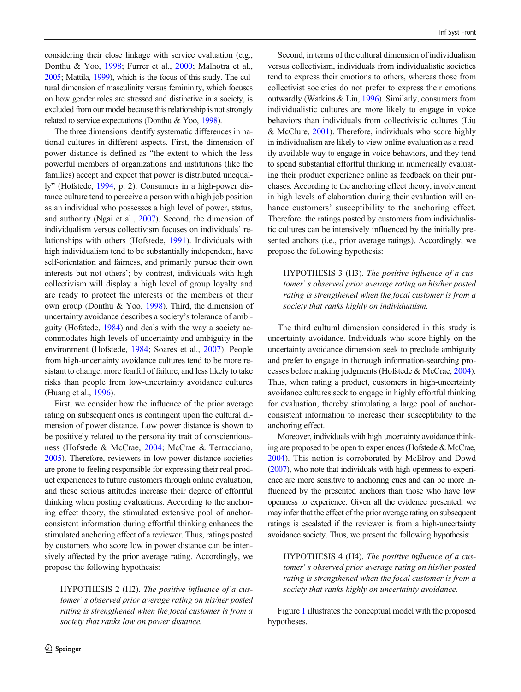considering their close linkage with service evaluation (e.g., Donthu & Yoo, [1998](#page-11-0); Furrer et al., [2000](#page-11-0); Malhotra et al., [2005;](#page-11-0) Mattila, [1999](#page-11-0)), which is the focus of this study. The cultural dimension of masculinity versus femininity, which focuses on how gender roles are stressed and distinctive in a society, is excluded from our model because this relationship is not strongly related to service expectations (Donthu & Yoo, [1998\)](#page-11-0).

The three dimensions identify systematic differences in national cultures in different aspects. First, the dimension of power distance is defined as "the extent to which the less powerful members of organizations and institutions (like the families) accept and expect that power is distributed unequally" (Hofstede, [1994,](#page-11-0) p. 2). Consumers in a high-power distance culture tend to perceive a person with a high job position as an individual who possesses a high level of power, status, and authority (Ngai et al., [2007\)](#page-12-0). Second, the dimension of individualism versus collectivism focuses on individuals' relationships with others (Hofstede, [1991](#page-11-0)). Individuals with high individualism tend to be substantially independent, have self-orientation and fairness, and primarily pursue their own interests but not others'; by contrast, individuals with high collectivism will display a high level of group loyalty and are ready to protect the interests of the members of their own group (Donthu & Yoo, [1998](#page-11-0)). Third, the dimension of uncertainty avoidance describes a society's tolerance of ambiguity (Hofstede, [1984](#page-11-0)) and deals with the way a society accommodates high levels of uncertainty and ambiguity in the environment (Hofstede, [1984;](#page-11-0) Soares et al., [2007\)](#page-12-0). People from high-uncertainty avoidance cultures tend to be more resistant to change, more fearful of failure, and less likely to take risks than people from low-uncertainty avoidance cultures (Huang et al., [1996](#page-11-0)).

First, we consider how the influence of the prior average rating on subsequent ones is contingent upon the cultural dimension of power distance. Low power distance is shown to be positively related to the personality trait of conscientiousness (Hofstede & McCrae, [2004](#page-11-0); McCrae & Terracciano, [2005\)](#page-11-0). Therefore, reviewers in low-power distance societies are prone to feeling responsible for expressing their real product experiences to future customers through online evaluation, and these serious attitudes increase their degree of effortful thinking when posting evaluations. According to the anchoring effect theory, the stimulated extensive pool of anchorconsistent information during effortful thinking enhances the stimulated anchoring effect of a reviewer. Thus, ratings posted by customers who score low in power distance can be intensively affected by the prior average rating. Accordingly, we propose the following hypothesis:

HYPOTHESIS 2 (H2). The positive influence of a customer' s observed prior average rating on his/her posted rating is strengthened when the focal customer is from a society that ranks low on power distance.

Second, in terms of the cultural dimension of individualism versus collectivism, individuals from individualistic societies tend to express their emotions to others, whereas those from collectivist societies do not prefer to express their emotions outwardly (Watkins & Liu, [1996](#page-12-0)). Similarly, consumers from individualistic cultures are more likely to engage in voice behaviors than individuals from collectivistic cultures (Liu & McClure, [2001\)](#page-11-0). Therefore, individuals who score highly in individualism are likely to view online evaluation as a readily available way to engage in voice behaviors, and they tend to spend substantial effortful thinking in numerically evaluating their product experience online as feedback on their purchases. According to the anchoring effect theory, involvement in high levels of elaboration during their evaluation will enhance customers' susceptibility to the anchoring effect. Therefore, the ratings posted by customers from individualistic cultures can be intensively influenced by the initially presented anchors (i.e., prior average ratings). Accordingly, we propose the following hypothesis:

HYPOTHESIS 3 (H3). The positive influence of a customer' s observed prior average rating on his/her posted rating is strengthened when the focal customer is from a society that ranks highly on individualism.

The third cultural dimension considered in this study is uncertainty avoidance. Individuals who score highly on the uncertainty avoidance dimension seek to preclude ambiguity and prefer to engage in thorough information-searching processes before making judgments (Hofstede & McCrae, [2004\)](#page-11-0). Thus, when rating a product, customers in high-uncertainty avoidance cultures seek to engage in highly effortful thinking for evaluation, thereby stimulating a large pool of anchorconsistent information to increase their susceptibility to the anchoring effect.

Moreover, individuals with high uncertainty avoidance thinking are proposed to be open to experiences (Hofstede & McCrae, [2004\)](#page-11-0). This notion is corroborated by McElroy and Dowd [\(2007\)](#page-11-0), who note that individuals with high openness to experience are more sensitive to anchoring cues and can be more influenced by the presented anchors than those who have low openness to experience. Given all the evidence presented, we may infer that the effect of the prior average rating on subsequent ratings is escalated if the reviewer is from a high-uncertainty avoidance society. Thus, we present the following hypothesis:

HYPOTHESIS 4 (H4). The positive influence of a customer' s observed prior average rating on his/her posted rating is strengthened when the focal customer is from a society that ranks highly on uncertainty avoidance.

Figure [1](#page-1-0) illustrates the conceptual model with the proposed hypotheses.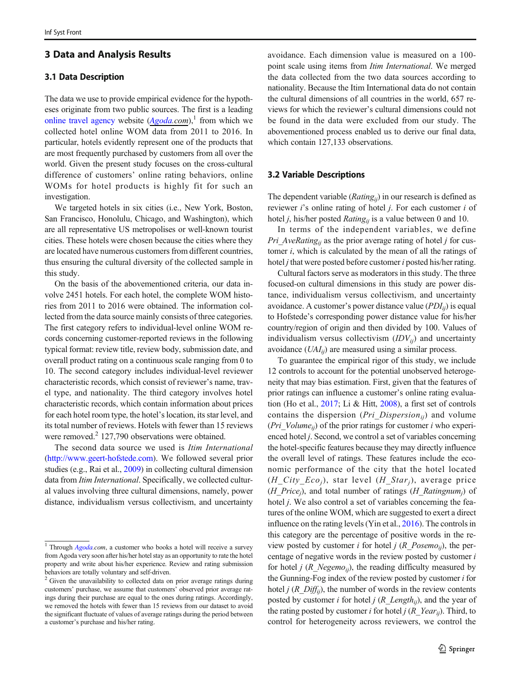# 3 Data and Analysis Results

## 3.1 Data Description

The data we use to provide empirical evidence for the hypotheses originate from two public sources. The first is a leading [online travel agency](https://en.wikipedia.org/wiki/Travel_website) website  $(Agoda.com)^{1}$  $(Agoda.com)^{1}$  $(Agoda.com)^{1}$  from which we collected hotel online WOM data from 2011 to 2016. In particular, hotels evidently represent one of the products that are most frequently purchased by customers from all over the world. Given the present study focuses on the cross-cultural difference of customers' online rating behaviors, online WOMs for hotel products is highly fit for such an investigation.

We targeted hotels in six cities (i.e., New York, Boston, San Francisco, Honolulu, Chicago, and Washington), which are all representative US metropolises or well-known tourist cities. These hotels were chosen because the cities where they are located have numerous customers from different countries, thus ensuring the cultural diversity of the collected sample in this study.

On the basis of the abovementioned criteria, our data involve 2451 hotels. For each hotel, the complete WOM histories from 2011 to 2016 were obtained. The information collected from the data source mainly consists of three categories. The first category refers to individual-level online WOM records concerning customer-reported reviews in the following typical format: review title, review body, submission date, and overall product rating on a continuous scale ranging from 0 to 10. The second category includes individual-level reviewer characteristic records, which consist of reviewer's name, travel type, and nationality. The third category involves hotel characteristic records, which contain information about prices for each hotel room type, the hotel's location, its star level, and its total number of reviews. Hotels with fewer than 15 reviews were removed.<sup>2</sup> 127,790 observations were obtained.

The second data source we used is Itim International [\(http://www.geert-hofstede.com\)](http://www.geert-hofstede.com). We followed several prior studies (e.g., Rai et al., [2009](#page-12-0)) in collecting cultural dimension data from Itim International. Specifically, we collected cultural values involving three cultural dimensions, namely, power distance, individualism versus collectivism, and uncertainty

avoidance. Each dimension value is measured on a 100 point scale using items from Itim International. We merged the data collected from the two data sources according to nationality. Because the Itim International data do not contain the cultural dimensions of all countries in the world, 657 reviews for which the reviewer's cultural dimensions could not be found in the data were excluded from our study. The abovementioned process enabled us to derive our final data, which contain 127,133 observations.

# 3.2 Variable Descriptions

The dependent variable ( $Rating_{ii}$ ) in our research is defined as reviewer *i*'s online rating of hotel *j*. For each customer *i* of hotel *j*, his/her posted *Rating<sub>ij</sub>* is a value between 0 and 10.

In terms of the independent variables, we define *Pri* AveRating<sub>ij</sub> as the prior average rating of hotel j for customer  $i$ , which is calculated by the mean of all the ratings of hotel  $j$  that were posted before customer  $i$  posted his/her rating.

Cultural factors serve as moderators in this study. The three focused-on cultural dimensions in this study are power distance, individualism versus collectivism, and uncertainty avoidance. A customer's power distance value  $(PDI_{ii})$  is equal to Hofstede's corresponding power distance value for his/her country/region of origin and then divided by 100. Values of individualism versus collectivism  $(IDV_{ii})$  and uncertainty avoidance  $(UAI_{ii})$  are measured using a similar process.

To guarantee the empirical rigor of this study, we include 12 controls to account for the potential unobserved heterogeneity that may bias estimation. First, given that the features of prior ratings can influence a customer's online rating evaluation (Ho et al., [2017;](#page-11-0) Li & Hitt, [2008](#page-11-0)), a first set of controls contains the dispersion (*Pri Dispersion*<sub>ii</sub>) and volume (*Pri* Volume<sub>ii</sub>) of the prior ratings for customer i who experienced hotel *j*. Second, we control a set of variables concerning the hotel-specific features because they may directly influence the overall level of ratings. These features include the economic performance of the city that the hotel located  $(H_City\_Eco_j)$ , star level  $(H_Star_j)$ , average price (H\_Price<sub>i</sub>), and total number of ratings (H\_Ratingnum<sub>i</sub>) of hotel *j*. We also control a set of variables concerning the features of the online WOM, which are suggested to exert a direct influence on the rating levels (Yin et al., [2016](#page-12-0)). The controls in this category are the percentage of positive words in the review posted by customer i for hotel j (R\_Posemo<sub>ii</sub>), the percentage of negative words in the review posted by customer i for hotel *j* ( $R$ <sub>Negemo<sub>ij</sub>), the reading difficulty measured by</sub> the Gunning-Fog index of the review posted by customer i for hotel  $j$  ( $R$   $Diff_{ii}$ ), the number of words in the review contents posted by customer i for hotel j  $(R\_Length_{ij})$ , and the year of the rating posted by customer *i* for hotel *j* ( $R$ <sub>*\_Year<sub>ij</sub>*). Third, to</sub> control for heterogeneity across reviewers, we control the

<sup>&</sup>lt;sup>1</sup> Through  $Agoda.com$  $Agoda.com$ , a customer who books a hotel will receive a survey from Agoda very soon after his/her hotel stay as an opportunity to rate the hotel property and write about his/her experience. Review and rating submission behaviors are totally voluntary and self-driven.

<sup>&</sup>lt;sup>2</sup> Given the unavailability to collected data on prior average ratings during customers' purchase, we assume that customers' observed prior average ratings during their purchase are equal to the ones during ratings. Accordingly, we removed the hotels with fewer than 15 reviews from our dataset to avoid the significant fluctuate of values of average ratings during the period between a customer's purchase and his/her rating.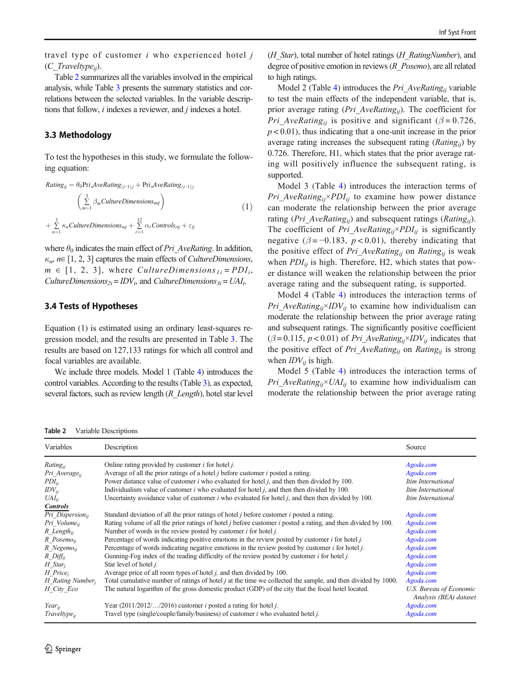travel type of customer  $i$  who experienced hotel  $j$  $(C\; Travel type_{ii})$ .

Table 2 summarizes all the variables involved in the empirical analysis, while Table [3](#page-8-0) presents the summary statistics and correlations between the selected variables. In the variable descriptions that follow,  $i$  indexes a reviewer, and  $j$  indexes a hotel.

## 3.3 Methodology

To test the hypotheses in this study, we formulate the following equation:

$$
Rating_{ij} = \theta_0 \text{Pri}. AveRating_{(i-1)j} + \text{Pri}. AveRating_{(i-1)j}
$$
\n
$$
\left(\sum_{m=1}^{3} \beta_m CultureDimensions_{mj}\right)
$$
\n
$$
+\sum_{n=1}^{3} \kappa_n CultureDimensions_{nj} + \sum_{r=1}^{12} \alpha_r Controls_{rij} + \varepsilon_{ij}
$$
\n(1)

where  $\theta_0$  indicates the main effect of *Pri* AveRating. In addition,  $\kappa_n$ ,  $n \in [1, 2, 3]$  captures the main effects of *CultureDimensions*,  $m \in [1, 2, 3]$ , where *CultureDimensions*<sub>1i</sub> =  $PDI_i$ , CultureDimensions<sub>2i</sub> = IDV<sub>i</sub>, and CultureDimensions<sub>3i</sub> = UAI<sub>i</sub>.

### 3.4 Tests of Hypotheses

Equation (1) is estimated using an ordinary least-squares regression model, and the results are presented in Table [3.](#page-8-0) The results are based on 127,133 ratings for which all control and focal variables are available.

We include three models. Model 1 (Table [4](#page-9-0)) introduces the control variables. According to the results (Table [3\)](#page-8-0), as expected, several factors, such as review length  $(R$  Length), hotel star level

(*H\_Star*), total number of hotel ratings (*H\_RatingNumber*), and degree of positive emotion in reviews  $(R\;Posemo)$ , are all related to high ratings.

Model 2 (Table [4\)](#page-9-0) introduces the Pri AveRating<sub>ij</sub> variable to test the main effects of the independent variable, that is, prior average rating (*Pri* AveRating<sub>ii</sub>). The coefficient for *Pri* AveRating<sub>ii</sub> is positive and significant ( $\beta = 0.726$ ,  $p < 0.01$ ), thus indicating that a one-unit increase in the prior average rating increases the subsequent rating  $(Rating_{ii})$  by 0.726. Therefore, H1, which states that the prior average rating will positively influence the subsequent rating, is supported.

Model 3 (Table [4](#page-9-0)) introduces the interaction terms of *Pri* AveRating<sub>ii</sub>×PDI<sub>ii</sub> to examine how power distance can moderate the relationship between the prior average rating (Pri\_AveRating<sub>ij</sub>) and subsequent ratings (Rating<sub>ij</sub>). The coefficient of Pri AveRating<sub>ii</sub>×PDI<sub>ii</sub> is significantly negative ( $\beta = -0.183$ ,  $p < 0.01$ ), thereby indicating that the positive effect of Pri\_AveRating<sub>ij</sub> on Rating<sub>ij</sub> is weak when  $PDI_{ij}$  is high. Therefore, H2, which states that power distance will weaken the relationship between the prior average rating and the subsequent rating, is supported.

Model 4 (Table [4](#page-9-0)) introduces the interaction terms of *Pri* AveRating<sub>ii</sub>×IDV<sub>ii</sub> to examine how individualism can moderate the relationship between the prior average rating and subsequent ratings. The significantly positive coefficient  $(\beta = 0.115, p < 0.01)$  of Pri\_AveRating<sub>ii</sub>×IDV<sub>ii</sub> indicates that the positive effect of Pri AveRating<sub>ii</sub> on Rating<sub>ii</sub> is strong when  $IDV_{ii}$  is high.

Model 5 (Table [4](#page-9-0)) introduces the interaction terms of *Pri* AveRating<sub>ii</sub>×UAI<sub>ii</sub> to examine how individualism can moderate the relationship between the prior average rating

Table 2 Variable Descriptions

| Variables                      | Description                                                                                                                 | Source                                            |
|--------------------------------|-----------------------------------------------------------------------------------------------------------------------------|---------------------------------------------------|
| Rating <sub>ii</sub>           | Online rating provided by customer $i$ for hotel $j$ .                                                                      | Agoda.com                                         |
| Pri Average <sub>ii</sub>      | Average of all the prior ratings of a hotel $j$ before customer $i$ posted a rating.                                        | Agoda.com                                         |
| $PDI_{ii}$                     | Power distance value of customer $i$ who evaluated for hotel $j$ , and then then divided by 100.                            | Itim International                                |
| $IDV_{ii}$                     | Individualism value of customer $i$ who evaluated for hotel $j$ , and then then divided by 100.                             | Itim International                                |
| $UAI_{ii}$                     | Uncertainty avoidance value of customer $i$ who evaluated for hotel $j$ , and then then divided by 100.                     | Itim International                                |
| <b>Controls</b>                |                                                                                                                             |                                                   |
| Pri Dispersion <sub>ii</sub>   | Standard deviation of all the prior ratings of hotel <i>j</i> before customer <i>i</i> posted a rating.                     | Agoda.com                                         |
| Pri Volume <sub>ii</sub>       | Rating volume of all the prior ratings of hotel <i>j</i> before customer <i>i</i> posted a rating, and then divided by 100. | Agoda.com                                         |
| $R$ Length <sub>ii</sub>       | Number of words in the review posted by customer $i$ for hotel $j$ .                                                        | Agoda.com                                         |
| $R$ Posemo <sub>ii</sub>       | Percentage of words indicating positive emotions in the review posted by customer $i$ for hotel $j$ .                       | Agoda.com                                         |
| $R$ Negemo <sub>ii</sub>       | Percentage of words indicating negative emotions in the review posted by customer $i$ for hotel $j$ .                       | Agoda.com                                         |
| $R$ Diff <sub>ii</sub>         | Gunning-Fog index of the reading difficulty of the review posted by customer $i$ for hotel $j$ .                            | Agoda.com                                         |
| $H$ Star <sub>i</sub>          | Star level of hotel <i>j</i> .                                                                                              | Agoda.com                                         |
| $H$ Price <sub>i</sub>         | Average price of all room types of hotel <i>i</i> , and then divided by 100.                                                | Agoda.com                                         |
| $H$ Rating Number <sub>i</sub> | Total cumulative number of ratings of hotel <i>j</i> at the time we collected the sample, and then divided by 1000.         | Agoda.com                                         |
| H City Eco                     | The natural logarithm of the gross domestic product (GDP) of the city that the focal hotel located.                         | U.S. Bureau of Economic<br>Analysis (BEA) dataset |
| Year <sub>ii</sub>             | Year $(2011/2012)$ /2016) customer <i>i</i> posted a rating for hotel <i>j</i> .                                            | Agoda.com                                         |
| Traveltype <sub>ii</sub>       | Travel type (single/couple/family/business) of customer <i>i</i> who evaluated hotel <i>j</i> .                             | Agoda.com                                         |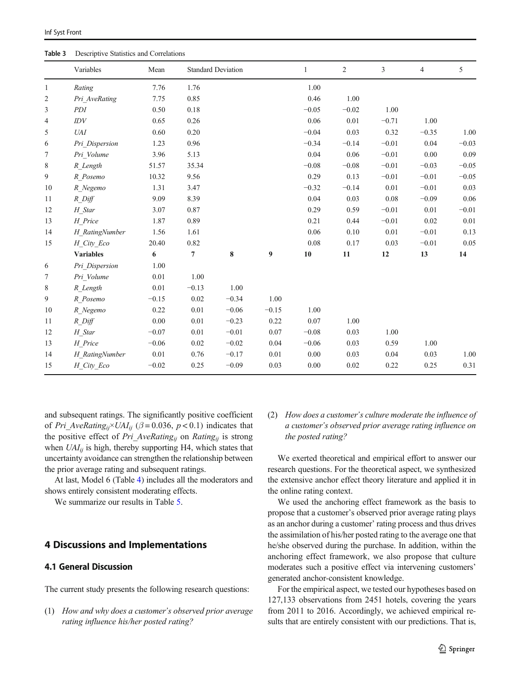<span id="page-8-0"></span>

| Table 3      | Descriptive Statistics and Correlations |         |         |                           |                  |              |                |         |                |         |
|--------------|-----------------------------------------|---------|---------|---------------------------|------------------|--------------|----------------|---------|----------------|---------|
|              | Variables                               | Mean    |         | <b>Standard Deviation</b> |                  | $\mathbf{1}$ | $\overline{2}$ | 3       | $\overline{4}$ | 5       |
| $\mathbf{1}$ | Rating                                  | 7.76    | 1.76    |                           |                  | 1.00         |                |         |                |         |
| 2            | Pri AveRating                           | 7.75    | 0.85    |                           |                  | 0.46         | 1.00           |         |                |         |
| 3            | PDI                                     | 0.50    | 0.18    |                           |                  | $-0.05$      | $-0.02$        | 1.00    |                |         |
| 4            | IDV                                     | 0.65    | 0.26    |                           |                  | 0.06         | $0.01\,$       | $-0.71$ | 1.00           |         |
| 5            | <b>UAI</b>                              | 0.60    | 0.20    |                           |                  | $-0.04$      | 0.03           | 0.32    | $-0.35$        | 1.00    |
| 6            | Pri Dispersion                          | 1.23    | 0.96    |                           |                  | $-0.34$      | $-0.14$        | $-0.01$ | 0.04           | $-0.03$ |
| 7            | Pri Volume                              | 3.96    | 5.13    |                           |                  | 0.04         | 0.06           | $-0.01$ | 0.00           | 0.09    |
| 8            | R Length                                | 51.57   | 35.34   |                           |                  | $-0.08$      | $-0.08$        | $-0.01$ | $-0.03$        | $-0.05$ |
| 9            | R Posemo                                | 10.32   | 9.56    |                           |                  | 0.29         | 0.13           | $-0.01$ | $-0.01$        | $-0.05$ |
| 10           | R Negemo                                | 1.31    | 3.47    |                           |                  | $-0.32$      | $-0.14$        | 0.01    | $-0.01$        | 0.03    |
| 11           | $R$ Diff                                | 9.09    | 8.39    |                           |                  | 0.04         | 0.03           | 0.08    | $-0.09$        | 0.06    |
| 12           | H Star                                  | 3.07    | 0.87    |                           |                  | 0.29         | 0.59           | $-0.01$ | 0.01           | $-0.01$ |
| 13           | H Price                                 | 1.87    | 0.89    |                           |                  | 0.21         | 0.44           | $-0.01$ | 0.02           | 0.01    |
| 14           | H RatingNumber                          | 1.56    | 1.61    |                           |                  | 0.06         | 0.10           | 0.01    | $-0.01$        | 0.13    |
| 15           | H City Eco                              | 20.40   | 0.82    |                           |                  | 0.08         | 0.17           | 0.03    | $-0.01$        | 0.05    |
|              | <b>Variables</b>                        | 6       | 7       | 8                         | $\boldsymbol{9}$ | 10           | 11             | 12      | 13             | 14      |
| 6            | Pri Dispersion                          | 1.00    |         |                           |                  |              |                |         |                |         |
| 7            | Pri Volume                              | 0.01    | 1.00    |                           |                  |              |                |         |                |         |
| 8            | R Length                                | 0.01    | $-0.13$ | 1.00                      |                  |              |                |         |                |         |
| 9            | R Posemo                                | $-0.15$ | 0.02    | $-0.34$                   | 1.00             |              |                |         |                |         |
| 10           | R Negemo                                | 0.22    | 0.01    | $-0.06$                   | $-0.15$          | 1.00         |                |         |                |         |
| 11           | $R$ _Diff                               | 0.00    | 0.01    | $-0.23$                   | 0.22             | 0.07         | 1.00           |         |                |         |
| 12           | H Star                                  | $-0.07$ | 0.01    | $-0.01$                   | $0.07\,$         | $-0.08$      | 0.03           | 1.00    |                |         |
| 13           | H Price                                 | $-0.06$ | 0.02    | $-0.02$                   | 0.04             | $-0.06$      | 0.03           | 0.59    | 1.00           |         |
| 14           | H RatingNumber                          | 0.01    | 0.76    | $-0.17$                   | 0.01             | 0.00         | 0.03           | 0.04    | 0.03           | 1.00    |
| 15           | H_City_Eco                              | $-0.02$ | 0.25    | $-0.09$                   | 0.03             | 0.00         | 0.02           | 0.22    | 0.25           | 0.31    |

and subsequent ratings. The significantly positive coefficient of Pri AveRating<sub>ii</sub>×UAI<sub>ii</sub> ( $\beta$  = 0.036, p < 0.1) indicates that the positive effect of Pri\_AveRating<sub>ij</sub> on Rating<sub>ij</sub> is strong when  $UAI_{ij}$  is high, thereby supporting H4, which states that uncertainty avoidance can strengthen the relationship between the prior average rating and subsequent ratings.

At last, Model 6 (Table [4\)](#page-9-0) includes all the moderators and shows entirely consistent moderating effects.

We summarize our results in Table [5.](#page-10-0)

# 4 Discussions and Implementations

# 4.1 General Discussion

The current study presents the following research questions:

(1) How and why does a customer's observed prior average rating influence his/her posted rating?

(2) How does a customer's culture moderate the influence of a customer's observed prior average rating influence on the posted rating?

We exerted theoretical and empirical effort to answer our research questions. For the theoretical aspect, we synthesized the extensive anchor effect theory literature and applied it in the online rating context.

We used the anchoring effect framework as the basis to propose that a customer's observed prior average rating plays as an anchor during a customer' rating process and thus drives the assimilation of his/her posted rating to the average one that he/she observed during the purchase. In addition, within the anchoring effect framework, we also propose that culture moderates such a positive effect via intervening customers' generated anchor-consistent knowledge.

For the empirical aspect, we tested our hypotheses based on 127,133 observations from 2451 hotels, covering the years from 2011 to 2016. Accordingly, we achieved empirical results that are entirely consistent with our predictions. That is,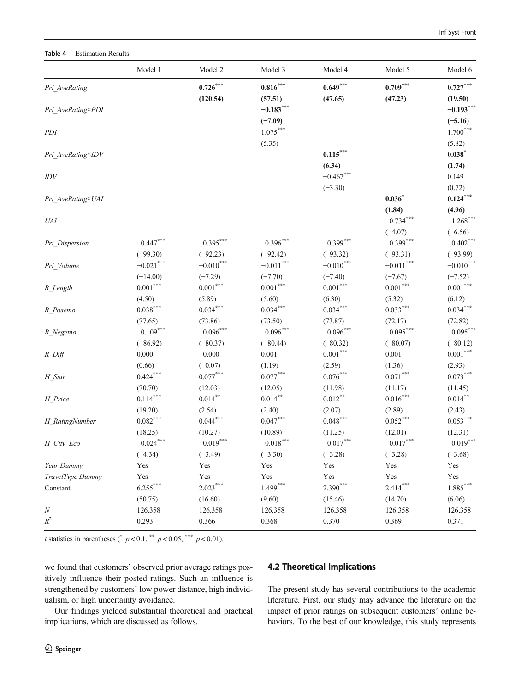#### <span id="page-9-0"></span>Table 4 Estimation Results

|                     | Model 1      | Model 2                | Model 3                                     | Model 4                 | Model 5                | Model 6                |
|---------------------|--------------|------------------------|---------------------------------------------|-------------------------|------------------------|------------------------|
| Pri_AveRating       |              | $0.726***$             | $\textbf{0.816}^{\text{\tiny\textsf{max}}}$ | $0.649***$              | $0.709***$             | $0.727***$             |
|                     |              | (120.54)               | (57.51)                                     | (47.65)                 | (47.23)                | (19.50)                |
| Pri AveRating×PDI   |              |                        | $-0.183***$                                 |                         |                        | $-0.193***$            |
|                     |              |                        | $(-7.09)$                                   |                         |                        | $(-5.16)$              |
| PDI                 |              |                        | $1.075^{\ast\ast\ast}$                      |                         |                        | $1.700***$             |
|                     |              |                        | (5.35)                                      |                         |                        | (5.82)                 |
| Pri_AveRating×IDV   |              |                        |                                             | $0.115***$              |                        | $0.038*$               |
|                     |              |                        |                                             | (6.34)                  |                        | (1.74)                 |
| IDV                 |              |                        |                                             | $-0.467***$             |                        | 0.149                  |
|                     |              |                        |                                             | $(-3.30)$               |                        | (0.72)                 |
| Pri_AveRating×UAI   |              |                        |                                             |                         | 0.036                  | $0.124***$             |
|                     |              |                        |                                             |                         | (1.84)                 | (4.96)                 |
| <b>UAI</b>          |              |                        |                                             |                         | $-0.734***$            | $-1.268$ ***           |
|                     |              |                        |                                             |                         | $(-4.07)$              | $(-6.56)$              |
| Pri Dispersion      | $-0.447$ *** | $-0.395***$            | $-0.396$ ***                                | $-0.399$ ***            | $-0.399***$            | $-0.402$ ***           |
|                     | $(-99.30)$   | $(-92.23)$             | $(-92.42)$                                  | $(-93.32)$              | $(-93.31)$             | $(-93.99)$             |
| Pri_Volume          | $-0.021***$  | $-0.010***$            | $-0.011***$                                 | $-0.010^{\ast\ast\ast}$ | $-0.011***$            | $-0.010$ ***           |
|                     | $(-14.00)$   | $(-7.29)$              | $(-7.70)$                                   | $(-7.40)$               | $(-7.67)$              | $(-7.52)$              |
| R Length            | $0.001***$   | $0.001^{\ast\ast\ast}$ | $0.001^{\ast\ast\ast}$                      | $0.001^{\ast\ast\ast}$  | $0.001^{\ast\ast\ast}$ | $0.001^{\ast\ast\ast}$ |
|                     | (4.50)       | (5.89)                 | (5.60)                                      | (6.30)                  | (5.32)                 | (6.12)                 |
| R Posemo            | $0.038***$   | $0.034***$             | $0.034***$                                  | $0.034***$              | $0.033***$             | $0.034***$             |
|                     | (77.65)      | (73.86)                | (73.50)                                     | (73.87)                 | (72.17)                | (72.82)                |
| R_Negemo            | $-0.109***$  | $-0.096***$            | $-0.096***$                                 | $-0.096***$             | $-0.095***$            | $-0.095***$            |
|                     | $(-86.92)$   | $(-80.37)$             | $(-80.44)$                                  | $(-80.32)$              | $(-80.07)$             | $(-80.12)$             |
| $R$ <sup>Diff</sup> | 0.000        | $-0.000$               | 0.001                                       | $0.001***$              | 0.001                  | $0.001^{\ast\ast\ast}$ |
|                     | (0.66)       | $(-0.07)$              | (1.19)                                      | (2.59)                  | (1.36)                 | (2.93)                 |
| H_Star              | $0.424***$   | $0.077^{\ast\ast\ast}$ | $0.077^{\ast\ast\ast}$                      | $0.076^{\ast\ast\ast}$  | $0.071^{\ast\ast\ast}$ | $0.073***$             |
|                     | (70.70)      | (12.03)                | (12.05)                                     | (11.98)                 | (11.17)                | (11.45)                |
| H_Price             | $0.114***$   | $0.014***$             | $0.014***$                                  | $0.012***$              | $0.016***$             | $0.014***$             |
|                     | (19.20)      | (2.54)                 | (2.40)                                      | (2.07)                  | (2.89)                 | (2.43)                 |
| H RatingNumber      | $0.082***$   | $0.044***$             | $0.047^{\ast\ast\ast}$                      | $0.048^{\ast\ast\ast}$  | $0.052^{\ast\ast\ast}$ | $0.053^{\ast\ast\ast}$ |
|                     | (18.25)      | (10.27)                | (10.89)                                     | (11.25)                 | (12.01)                | (12.31)                |
| H_City_Eco          | $-0.024***$  | $-0.019***$            | $-0.018***$                                 | $-0.017^{\ast\ast\ast}$ | $-0.017***$            | $-0.019***$            |
|                     | $(-4.34)$    | $(-3.49)$              | $(-3.30)$                                   | $(-3.28)$               | $(-3.28)$              | $(-3.68)$              |
| Year Dummy          | Yes          | Yes                    | Yes                                         | Yes                     | Yes                    | Yes                    |
| TravelType Dummy    | Yes          | Yes                    | Yes                                         | Yes                     | Yes                    | Yes                    |
| Constant            | $6.255***$   | $2.023***$             | $1.499***$                                  | $2.390***$              | $2.414***$             | $1.885***$             |
|                     | (50.75)      | (16.60)                | (9.60)                                      | (15.46)                 | (14.70)                | (6.06)                 |
| $\cal N$            | 126,358      | 126,358                | 126,358                                     | 126,358                 | 126,358                | 126,358                |
| $R^2$               | 0.293        | 0.366                  | 0.368                                       | 0.370                   | 0.369                  | 0.371                  |

*t* statistics in parentheses (\*  $p < 0.1$ , \*\*  $p < 0.05$ , \*\*\*  $p < 0.01$ ).

we found that customers' observed prior average ratings positively influence their posted ratings. Such an influence is strengthened by customers' low power distance, high individualism, or high uncertainty avoidance.

Our findings yielded substantial theoretical and practical implications, which are discussed as follows.

# 4.2 Theoretical Implications

The present study has several contributions to the academic literature. First, our study may advance the literature on the impact of prior ratings on subsequent customers' online behaviors. To the best of our knowledge, this study represents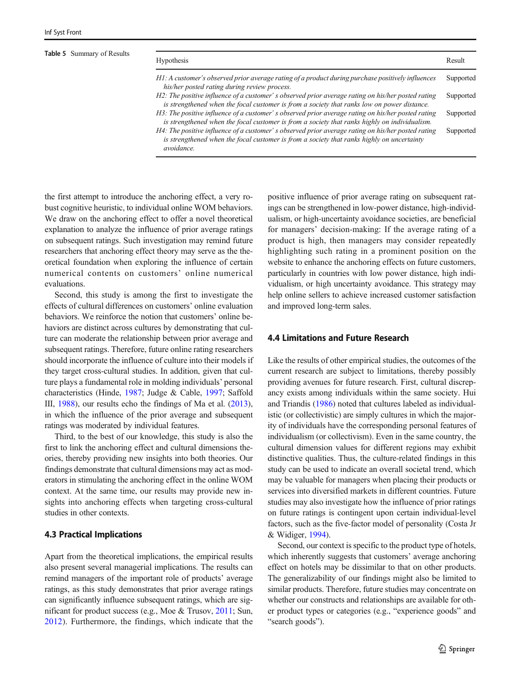#### <span id="page-10-0"></span>Table 5 Summary of Results

| <b>Hypothesis</b>                                                                                                                                                                                              | Result    |
|----------------------------------------------------------------------------------------------------------------------------------------------------------------------------------------------------------------|-----------|
| H1: A customer's observed prior average rating of a product during purchase positively influences<br>his/her posted rating during review process.                                                              | Supported |
| H2: The positive influence of a customer' s observed prior average rating on his/her posted rating<br>is strengthened when the focal customer is from a society that ranks low on power distance.              | Supported |
| H3: The positive influence of a customer' s observed prior average rating on his/her posted rating<br>is strengthened when the focal customer is from a society that ranks highly on individualism.            | Supported |
| H4: The positive influence of a customer' s observed prior average rating on his/her posted rating<br>is strengthened when the focal customer is from a society that ranks highly on uncertainty<br>avoidance. | Supported |

the first attempt to introduce the anchoring effect, a very robust cognitive heuristic, to individual online WOM behaviors. We draw on the anchoring effect to offer a novel theoretical explanation to analyze the influence of prior average ratings on subsequent ratings. Such investigation may remind future researchers that anchoring effect theory may serve as the theoretical foundation when exploring the influence of certain numerical contents on customers' online numerical evaluations.

Second, this study is among the first to investigate the effects of cultural differences on customers' online evaluation behaviors. We reinforce the notion that customers' online behaviors are distinct across cultures by demonstrating that culture can moderate the relationship between prior average and subsequent ratings. Therefore, future online rating researchers should incorporate the influence of culture into their models if they target cross-cultural studies. In addition, given that culture plays a fundamental role in molding individuals' personal characteristics (Hinde, [1987](#page-11-0); Judge & Cable, [1997](#page-11-0); Saffold III, [1988\)](#page-12-0), our results echo the findings of Ma et al. [\(2013\)](#page-11-0), in which the influence of the prior average and subsequent ratings was moderated by individual features.

Third, to the best of our knowledge, this study is also the first to link the anchoring effect and cultural dimensions theories, thereby providing new insights into both theories. Our findings demonstrate that cultural dimensions may act as moderators in stimulating the anchoring effect in the online WOM context. At the same time, our results may provide new insights into anchoring effects when targeting cross-cultural studies in other contexts.

# 4.3 Practical Implications

Apart from the theoretical implications, the empirical results also present several managerial implications. The results can remind managers of the important role of products' average ratings, as this study demonstrates that prior average ratings can significantly influence subsequent ratings, which are significant for product success (e.g., Moe & Trusov, [2011](#page-12-0); Sun, [2012](#page-12-0)). Furthermore, the findings, which indicate that the positive influence of prior average rating on subsequent ratings can be strengthened in low-power distance, high-individualism, or high-uncertainty avoidance societies, are beneficial for managers' decision-making: If the average rating of a product is high, then managers may consider repeatedly highlighting such rating in a prominent position on the website to enhance the anchoring effects on future customers, particularly in countries with low power distance, high individualism, or high uncertainty avoidance. This strategy may help online sellers to achieve increased customer satisfaction and improved long-term sales.

## 4.4 Limitations and Future Research

Like the results of other empirical studies, the outcomes of the current research are subject to limitations, thereby possibly providing avenues for future research. First, cultural discrepancy exists among individuals within the same society. Hui and Triandis ([1986](#page-11-0)) noted that cultures labeled as individualistic (or collectivistic) are simply cultures in which the majority of individuals have the corresponding personal features of individualism (or collectivism). Even in the same country, the cultural dimension values for different regions may exhibit distinctive qualities. Thus, the culture-related findings in this study can be used to indicate an overall societal trend, which may be valuable for managers when placing their products or services into diversified markets in different countries. Future studies may also investigate how the influence of prior ratings on future ratings is contingent upon certain individual-level factors, such as the five-factor model of personality (Costa Jr & Widiger, [1994\)](#page-11-0).

Second, our context is specific to the product type of hotels, which inherently suggests that customers' average anchoring effect on hotels may be dissimilar to that on other products. The generalizability of our findings might also be limited to similar products. Therefore, future studies may concentrate on whether our constructs and relationships are available for other product types or categories (e.g., "experience goods" and "search goods").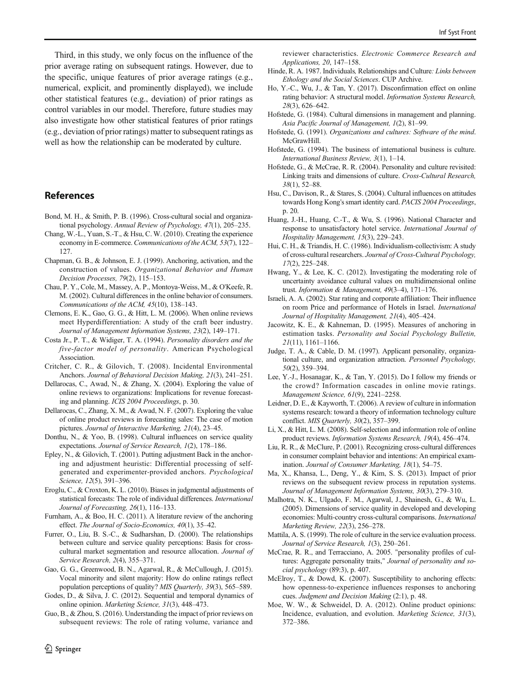<span id="page-11-0"></span>Third, in this study, we only focus on the influence of the prior average rating on subsequent ratings. However, due to the specific, unique features of prior average ratings (e.g., numerical, explicit, and prominently displayed), we include other statistical features (e.g., deviation) of prior ratings as control variables in our model. Therefore, future studies may also investigate how other statistical features of prior ratings (e.g., deviation of prior ratings) matter to subsequent ratings as well as how the relationship can be moderated by culture.

# References

- Bond, M. H., & Smith, P. B. (1996). Cross-cultural social and organizational psychology. Annual Review of Psychology, 47(1), 205–235.
- Chang, W.-L., Yuan, S.-T., & Hsu, C. W. (2010). Creating the experience economy in E-commerce. Communications of the ACM, 53(7), 122– 127.
- Chapman, G. B., & Johnson, E. J. (1999). Anchoring, activation, and the construction of values. Organizational Behavior and Human Decision Processes, 79(2), 115–153.
- Chau, P. Y., Cole, M., Massey, A. P., Montoya-Weiss, M., & O'Keefe, R. M. (2002). Cultural differences in the online behavior of consumers. Communications of the ACM, 45(10), 138–143.
- Clemons, E. K., Gao, G. G., & Hitt, L. M. (2006). When online reviews meet Hyperdifferentiation: A study of the craft beer industry. Journal of Management Information Systems, 23(2), 149–171.
- Costa Jr., P. T., & Widiger, T. A. (1994). Personality disorders and the five-factor model of personality. American Psychological Association.
- Critcher, C. R., & Gilovich, T. (2008). Incidental Environmental Anchors. Journal of Behavioral Decision Making, 21(3), 241–251.
- Dellarocas, C., Awad, N., & Zhang, X. (2004). Exploring the value of online reviews to organizations: Implications for revenue forecasting and planning. ICIS 2004 Proceedings, p. 30.
- Dellarocas, C., Zhang, X. M., & Awad, N. F. (2007). Exploring the value of online product reviews in forecasting sales: The case of motion pictures. Journal of Interactive Marketing, 21(4), 23–45.
- Donthu, N., & Yoo, B. (1998). Cultural influences on service quality expectations. Journal of Service Research, 1(2), 178–186.
- Epley, N., & Gilovich, T. (2001). Putting adjustment Back in the anchoring and adjustment heuristic: Differential processing of selfgenerated and experimenter-provided anchors. Psychological Science, 12(5), 391–396.
- Eroglu, C., & Croxton, K. L. (2010). Biases in judgmental adjustments of statistical forecasts: The role of individual differences. International Journal of Forecasting, 26(1), 116–133.
- Furnham, A., & Boo, H. C. (2011). A literature review of the anchoring effect. The Journal of Socio-Economics, 40(1), 35–42.
- Furrer, O., Liu, B. S.-C., & Sudharshan, D. (2000). The relationships between culture and service quality perceptions: Basis for crosscultural market segmentation and resource allocation. Journal of Service Research, 2(4), 355–371.
- Gao, G. G., Greenwood, B. N., Agarwal, R., & McCullough, J. (2015). Vocal minority and silent majority: How do online ratings reflect population perceptions of quality? MIS Quarterly, 39(3), 565-589.
- Godes, D., & Silva, J. C. (2012). Sequential and temporal dynamics of online opinion. Marketing Science, 31(3), 448–473.
- Guo, B., & Zhou, S. (2016). Understanding the impact of prior reviews on subsequent reviews: The role of rating volume, variance and

reviewer characteristics. Electronic Commerce Research and Applications, 20, 147–158.

- Hinde, R. A. 1987. Individuals, Relationships and Culture: Links between Ethology and the Social Sciences. CUP Archive.
- Ho, Y.-C., Wu, J., & Tan, Y. (2017). Disconfirmation effect on online rating behavior: A structural model. Information Systems Research, 28(3), 626–642.
- Hofstede, G. (1984). Cultural dimensions in management and planning. Asia Pacific Journal of Management, 1(2), 81–99.
- Hofstede, G. (1991). Organizations and cultures: Software of the mind. McGrawHill.
- Hofstede, G. (1994). The business of international business is culture. International Business Review, 3(1), 1–14.
- Hofstede, G., & McCrae, R. R. (2004). Personality and culture revisited: Linking traits and dimensions of culture. Cross-Cultural Research, 38(1), 52–88.
- Hsu, C., Davison, R., & Stares, S. (2004). Cultural influences on attitudes towards Hong Kong's smart identity card. PACIS 2004 Proceedings, p. 20.
- Huang, J.-H., Huang, C.-T., & Wu, S. (1996). National Character and response to unsatisfactory hotel service. International Journal of Hospitality Management, 15(3), 229–243.
- Hui, C. H., & Triandis, H. C. (1986). Individualism-collectivism: A study of cross-cultural researchers. Journal of Cross-Cultural Psychology, 17(2), 225–248.
- Hwang, Y., & Lee, K. C. (2012). Investigating the moderating role of uncertainty avoidance cultural values on multidimensional online trust. Information & Management, 49(3–4), 171–176.
- Israeli, A. A. (2002). Star rating and corporate affiliation: Their influence on room Price and performance of Hotels in Israel. International Journal of Hospitality Management, 21(4), 405–424.
- Jacowitz, K. E., & Kahneman, D. (1995). Measures of anchoring in estimation tasks. Personality and Social Psychology Bulletin, 21(11), 1161–1166.
- Judge, T. A., & Cable, D. M. (1997). Applicant personality, organizational culture, and organization attraction. Personnel Psychology, 50(2), 359–394.
- Lee, Y.-J., Hosanagar, K., & Tan, Y. (2015). Do I follow my friends or the crowd? Information cascades in online movie ratings. Management Science, 61(9), 2241–2258.
- Leidner, D. E., & Kayworth, T. (2006). A review of culture in information systems research: toward a theory of information technology culture conflict. MIS Quarterly, 30(2), 357–399.
- Li, X., & Hitt, L. M. (2008). Self-selection and information role of online product reviews. Information Systems Research, 19(4), 456–474.
- Liu, R. R., & McClure, P. (2001). Recognizing cross-cultural differences in consumer complaint behavior and intentions: An empirical examination. Journal of Consumer Marketing, 18(1), 54–75.
- Ma, X., Khansa, L., Deng, Y., & Kim, S. S. (2013). Impact of prior reviews on the subsequent review process in reputation systems. Journal of Management Information Systems, 30(3), 279–310.
- Malhotra, N. K., Ulgado, F. M., Agarwal, J., Shainesh, G., & Wu, L. (2005). Dimensions of service quality in developed and developing economies: Multi-country cross-cultural comparisons. International Marketing Review, 22(3), 256–278.
- Mattila, A. S. (1999). The role of culture in the service evaluation process. Journal of Service Research, 1(3), 250–261.
- McCrae, R. R., and Terracciano, A. 2005. "personality profiles of cultures: Aggregate personality traits," Journal of personality and social psychology (89:3), p. 407.
- McElroy, T., & Dowd, K. (2007). Susceptibility to anchoring effects: how openness-to-experience influences responses to anchoring cues. Judgment and Decision Making (2:1), p. 48.
- Moe, W. W., & Schweidel, D. A. (2012). Online product opinions: Incidence, evaluation, and evolution. Marketing Science, 31(3), 372–386.